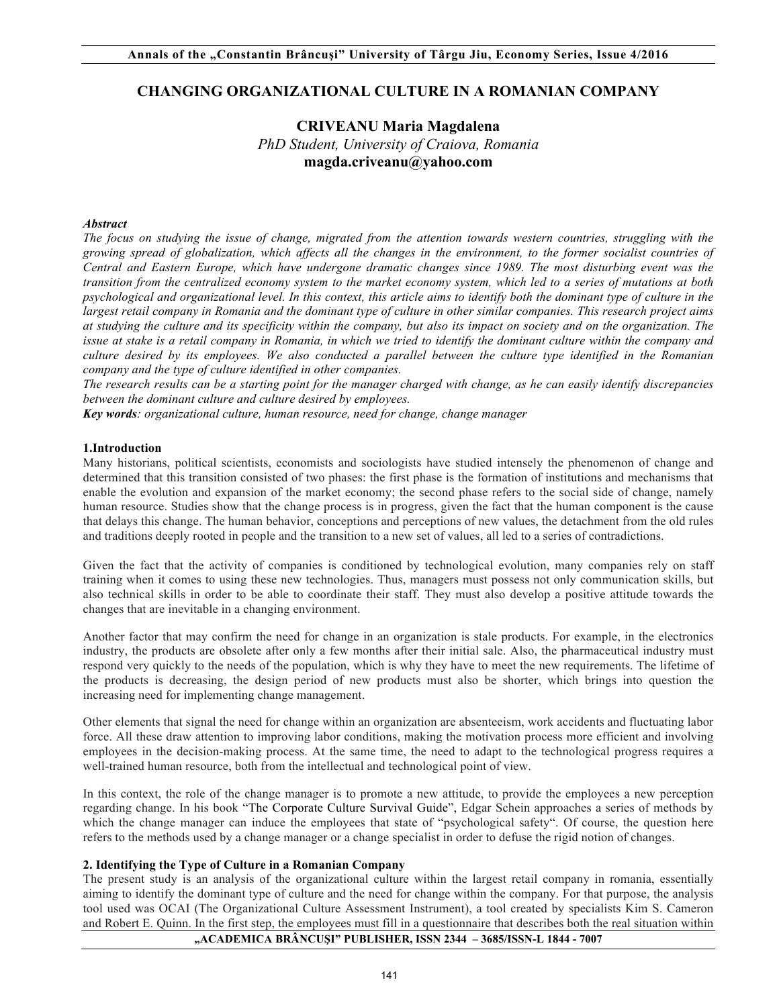# **CHANGING ORGANIZATIONAL CULTURE IN A ROMANIAN COMPANY**

# **CRIVEANU Maria Magdalena**  *PhD Student, University of Craiova, Romania*  **magda.criveanu@yahoo.com**

## *Abstract*

*The focus on studying the issue of change, migrated from the attention towards western countries, struggling with the growing spread of globalization, which affects all the changes in the environment, to the former socialist countries of Central and Eastern Europe, which have undergone dramatic changes since 1989. The most disturbing event was the transition from the centralized economy system to the market economy system, which led to a series of mutations at both psychological and organizational level. In this context, this article aims to identify both the dominant type of culture in the*  largest retail company in Romania and the dominant type of culture in other similar companies. This research project aims *at studying the culture and its specificity within the company, but also its impact on society and on the organization. The issue at stake is a retail company in Romania, in which we tried to identify the dominant culture within the company and culture desired by its employees. We also conducted a parallel between the culture type identified in the Romanian company and the type of culture identified in other companies.* 

*The research results can be a starting point for the manager charged with change, as he can easily identify discrepancies between the dominant culture and culture desired by employees.*

*Key words: organizational culture, human resource, need for change, change manager*

#### **1.Introduction**

Many historians, political scientists, economists and sociologists have studied intensely the phenomenon of change and determined that this transition consisted of two phases: the first phase is the formation of institutions and mechanisms that enable the evolution and expansion of the market economy; the second phase refers to the social side of change, namely human resource. Studies show that the change process is in progress, given the fact that the human component is the cause that delays this change. The human behavior, conceptions and perceptions of new values, the detachment from the old rules and traditions deeply rooted in people and the transition to a new set of values, all led to a series of contradictions.

Given the fact that the activity of companies is conditioned by technological evolution, many companies rely on staff training when it comes to using these new technologies. Thus, managers must possess not only communication skills, but also technical skills in order to be able to coordinate their staff. They must also develop a positive attitude towards the changes that are inevitable in a changing environment.

Another factor that may confirm the need for change in an organization is stale products. For example, in the electronics industry, the products are obsolete after only a few months after their initial sale. Also, the pharmaceutical industry must respond very quickly to the needs of the population, which is why they have to meet the new requirements. The lifetime of the products is decreasing, the design period of new products must also be shorter, which brings into question the increasing need for implementing change management.

Other elements that signal the need for change within an organization are absenteeism, work accidents and fluctuating labor force. All these draw attention to improving labor conditions, making the motivation process more efficient and involving employees in the decision-making process. At the same time, the need to adapt to the technological progress requires a well-trained human resource, both from the intellectual and technological point of view.

In this context, the role of the change manager is to promote a new attitude, to provide the employees a new perception regarding change. In his book "The Corporate Culture Survival Guide", Edgar Schein approaches a series of methods by which the change manager can induce the employees that state of "psychological safety". Of course, the question here refers to the methods used by a change manager or a change specialist in order to defuse the rigid notion of changes.

#### **2. Identifying the Type of Culture in a Romanian Company**

**"ACADEMICA BRÂNCUŞI" PUBLISHER, ISSN 2344 – 3685/ISSN-L 1844 - 7007** The present study is an analysis of the organizational culture within the largest retail company in romania, essentially aiming to identify the dominant type of culture and the need for change within the company. For that purpose, the analysis tool used was OCAI (The Organizational Culture Assessment Instrument), a tool created by specialists Kim S. Cameron and Robert E. Quinn. In the first step, the employees must fill in a questionnaire that describes both the real situation within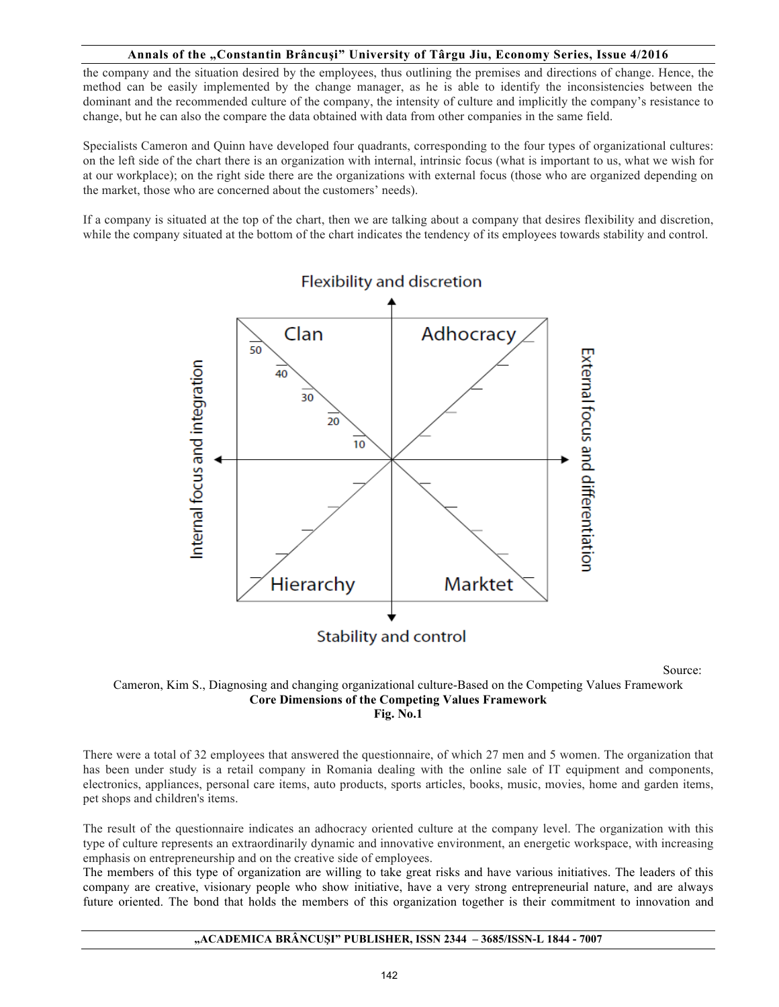the company and the situation desired by the employees, thus outlining the premises and directions of change. Hence, the method can be easily implemented by the change manager, as he is able to identify the inconsistencies between the dominant and the recommended culture of the company, the intensity of culture and implicitly the company's resistance to change, but he can also the compare the data obtained with data from other companies in the same field.

Specialists Cameron and Quinn have developed four quadrants, corresponding to the four types of organizational cultures: on the left side of the chart there is an organization with internal, intrinsic focus (what is important to us, what we wish for at our workplace); on the right side there are the organizations with external focus (those who are organized depending on the market, those who are concerned about the customers' needs).

If a company is situated at the top of the chart, then we are talking about a company that desires flexibility and discretion, while the company situated at the bottom of the chart indicates the tendency of its employees towards stability and control.



Source:

## Cameron, Kim S., Diagnosing and changing organizational culture-Based on the Competing Values Framework **Core Dimensions of the Competing Values Framework Fig. No.1**

There were a total of 32 employees that answered the questionnaire, of which 27 men and 5 women. The organization that has been under study is a retail company in Romania dealing with the online sale of IT equipment and components, electronics, appliances, personal care items, auto products, sports articles, books, music, movies, home and garden items, pet shops and children's items.

The result of the questionnaire indicates an adhocracy oriented culture at the company level. The organization with this type of culture represents an extraordinarily dynamic and innovative environment, an energetic workspace, with increasing emphasis on entrepreneurship and on the creative side of employees.

The members of this type of organization are willing to take great risks and have various initiatives. The leaders of this company are creative, visionary people who show initiative, have a very strong entrepreneurial nature, and are always future oriented. The bond that holds the members of this organization together is their commitment to innovation and

#### **"ACADEMICA BRÂNCUŞI" PUBLISHER, ISSN 2344 – 3685/ISSN-L 1844 - 7007**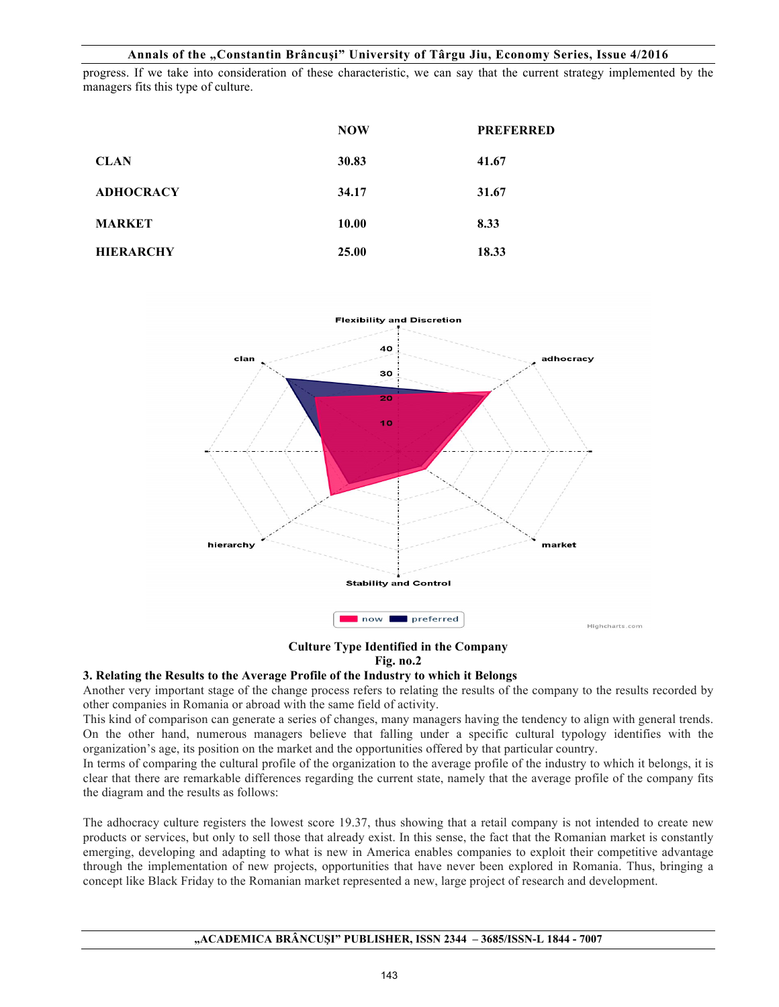progress. If we take into consideration of these characteristic, we can say that the current strategy implemented by the managers fits this type of culture.

|                  | <b>NOW</b> | <b>PREFERRED</b> |
|------------------|------------|------------------|
| <b>CLAN</b>      | 30.83      | 41.67            |
| <b>ADHOCRACY</b> | 34.17      | 31.67            |
| <b>MARKET</b>    | 10.00      | 8.33             |
| <b>HIERARCHY</b> | 25.00      | 18.33            |



**Culture Type Identified in the Company**

## **Fig. no.2**

#### **3. Relating the Results to the Average Profile of the Industry to which it Belongs**

Another very important stage of the change process refers to relating the results of the company to the results recorded by other companies in Romania or abroad with the same field of activity.

This kind of comparison can generate a series of changes, many managers having the tendency to align with general trends. On the other hand, numerous managers believe that falling under a specific cultural typology identifies with the organization's age, its position on the market and the opportunities offered by that particular country.

In terms of comparing the cultural profile of the organization to the average profile of the industry to which it belongs, it is clear that there are remarkable differences regarding the current state, namely that the average profile of the company fits the diagram and the results as follows:

The adhocracy culture registers the lowest score 19.37, thus showing that a retail company is not intended to create new products or services, but only to sell those that already exist. In this sense, the fact that the Romanian market is constantly emerging, developing and adapting to what is new in America enables companies to exploit their competitive advantage through the implementation of new projects, opportunities that have never been explored in Romania. Thus, bringing a concept like Black Friday to the Romanian market represented a new, large project of research and development.

#### **"ACADEMICA BRÂNCUŞI" PUBLISHER, ISSN 2344 – 3685/ISSN-L 1844 - 7007**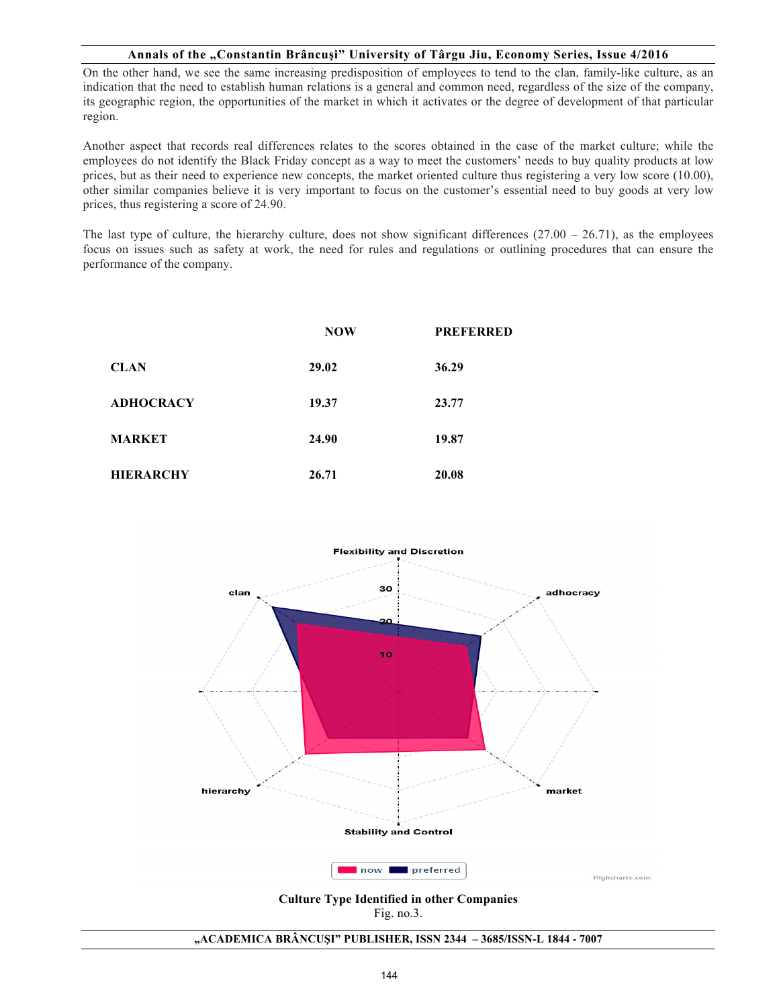On the other hand, we see the same increasing predisposition of employees to tend to the clan, family-like culture, as an indication that the need to establish human relations is a general and common need, regardless of the size of the company, its geographic region, the opportunities of the market in which it activates or the degree of development of that particular region.

Another aspect that records real differences relates to the scores obtained in the case of the market culture; while the employees do not identify the Black Friday concept as a way to meet the customers' needs to buy quality products at low prices, but as their need to experience new concepts, the market oriented culture thus registering a very low score (10.00), other similar companies believe it is very important to focus on the customer's essential need to buy goods at very low prices, thus registering a score of 24.90.

The last type of culture, the hierarchy culture, does not show significant differences  $(27.00 - 26.71)$ , as the employees focus on issues such as safety at work, the need for rules and regulations or outlining procedures that can ensure the performance of the company.

|                  | <b>NOW</b> | <b>PREFERRED</b> |
|------------------|------------|------------------|
| <b>CLAN</b>      | 29.02      | 36.29            |
| <b>ADHOCRACY</b> | 19.37      | 23.77            |
| <b>MARKET</b>    | 24.90      | 19.87            |
| <b>HIERARCHY</b> | 26.71      | 20.08            |



**Culture Type Identified in other Companies** Fig. no.3.

#### **"ACADEMICA BRÂNCUŞI" PUBLISHER, ISSN 2344 – 3685/ISSN-L 1844 - 7007**